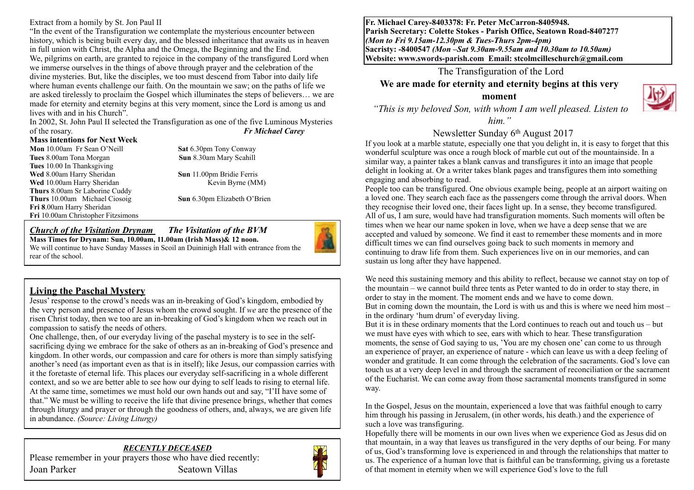Extract from a homily by St. Jon Paul II

"In the event of the Transfiguration we contemplate the mysterious encounter between history, which is being built every day, and the blessed inheritance that awaits us in heaven in full union with Christ, the Alpha and the Omega, the Beginning and the End. We, pilgrims on earth, are granted to rejoice in the company of the transfigured Lord when we immerse ourselves in the things of above through prayer and the celebration of the divine mysteries. But, like the disciples, we too must descend from Tabor into daily life where human events challenge our faith. On the mountain we saw; on the paths of life we are asked tirelessly to proclaim the Gospel which illuminates the steps of believers… we are made for eternity and eternity begins at this very moment, since the Lord is among us and lives with and in his Church".

In 2002, St. John Paul II selected the Transfiguration as one of the five Luminous Mysteries of the rosary. *Fr Michael Carey*

#### **Mass intentions for Next Week**

**Mon** 10.00am Fr Sean O'Neill **Sat** 6.30pm Tony Conway **Tues** 8.00am Tona Morgan **Sun 8.30am Mary Scahill Tues** 10.00 In Thanksgiving **Wed** 8.00am Harry Sheridan **Sun** 11.00pm Bridie Ferris **Wed** 10.00am Harry Sheridan Kevin Byrne (MM) **Thurs** 8.00am Sr Laborine Cuddy **Thurs** 10.00am Michael Ciosoig **Sun** 6.30pm Elizabeth O'Brien **Fri 8**.00am Harry Sheridan **Fri** 10.00am Christopher Fitzsimons

#### *Church of the Visitation Drynam**The Visitation of the BVM* **Mass Times for Drynam: Sun, 10.00am, 11.00am (Irish Mass)& 12 noon.**



# **Living the Paschal Mystery**

Jesus' response to the crowd's needs was an in-breaking of God's kingdom, embodied by the very person and presence of Jesus whom the crowd sought. If *we* are the presence of the risen Christ today, then we too are an in-breaking of God's kingdom when we reach out in compassion to satisfy the needs of others.

One challenge, then, of our everyday living of the paschal mystery is to see in the selfsacrificing dying we embrace for the sake of others as an in-breaking of God's presence and kingdom. In other words, our compassion and care for others is more than simply satisfying another's need (as important even as that is in itself); like Jesus, our compassion carries with it the foretaste of eternal life. This places our everyday self-sacrificing in a whole different context, and so we are better able to see how our dying to self leads to rising to eternal life. At the same time, sometimes we must hold our own hands out and say, "I'II have some of that." We must be willing to receive the life that divine presence brings, whether that comes through liturgy and prayer or through the goodness of others, and, always, we are given life in abundance. *(Source: Living Liturgy)*

*RECENTLY DECEASED*  Please remember in your prayers those who have died recently: Joan Parker Seatown Villas



**Fr. Michael Carey-8403378: Fr. Peter McCarron-8405948. Parish Secretary: Colette Stokes - Parish Office, Seatown Road-8407277**  *(Mon to Fri 9.15am-12.30pm & Tues-Thurs 2pm-4pm)*  **Sacristy: -8400547** *(Mon –Sat 9.30am-9.55am and 10.30am to 10.50am)* **Website: [www.swords-parish.com Email:](http://www.swords-parish.com%20%20email) stcolmcilleschurch@gmail.com**

#### The Transfiguration of the Lord

**We are made for eternity and eternity begins at this very** 

**moment** 

 *"This is my beloved Son, with whom I am well pleased. Listen to* 

*him."* 

#### Newsletter Sunday 6th August 2017

If you look at a marble statute, especially one that you delight in, it is easy to forget that this wonderful sculpture was once a rough block of marble cut out of the mountainside. In a similar way, a painter takes a blank canvas and transfigures it into an image that people delight in looking at. Or a writer takes blank pages and transfigures them into something engaging and absorbing to read.

People too can be transfigured. One obvious example being, people at an airport waiting on a loved one. They search each face as the passengers come through the arrival doors. When they recognise their loved one, their faces light up. In a sense, they become transfigured. All of us, I am sure, would have had transfiguration moments. Such moments will often be times when we hear our name spoken in love, when we have a deep sense that we are accepted and valued by someone. We find it east to remember these moments and in more difficult times we can find ourselves going back to such moments in memory and continuing to draw life from them. Such experiences live on in our memories, and can sustain us long after they have happened.

We need this sustaining memory and this ability to reflect, because we cannot stay on top of the mountain – we cannot build three tents as Peter wanted to do in order to stay there, in order to stay in the moment. The moment ends and we have to come down. But in coming down the mountain, the Lord is with us and this is where we need him most – in the ordinary 'hum drum' of everyday living.

But it is in these ordinary moments that the Lord continues to reach out and touch us – but we must have eyes with which to see, ears with which to hear. These transfiguration moments, the sense of God saying to us, 'You are my chosen one' can come to us through an experience of prayer, an experience of nature - which can leave us with a deep feeling of wonder and gratitude. It can come through the celebration of the sacraments. God's love can touch us at a very deep level in and through the sacrament of reconciliation or the sacrament of the Eucharist. We can come away from those sacramental moments transfigured in some way.

In the Gospel, Jesus on the mountain, experienced a love that was faithful enough to carry him through his passing in Jerusalem, (in other words, his death.) and the experience of such a love was transfiguring.

Hopefully there will be moments in our own lives when we experience God as Jesus did on that mountain, in a way that leaves us transfigured in the very depths of our being. For many of us, God's transforming love is experienced in and through the relationships that matter to us. The experience of a human love that is faithful can be transforming, giving us a foretaste of that moment in eternity when we will experience God's love to the full